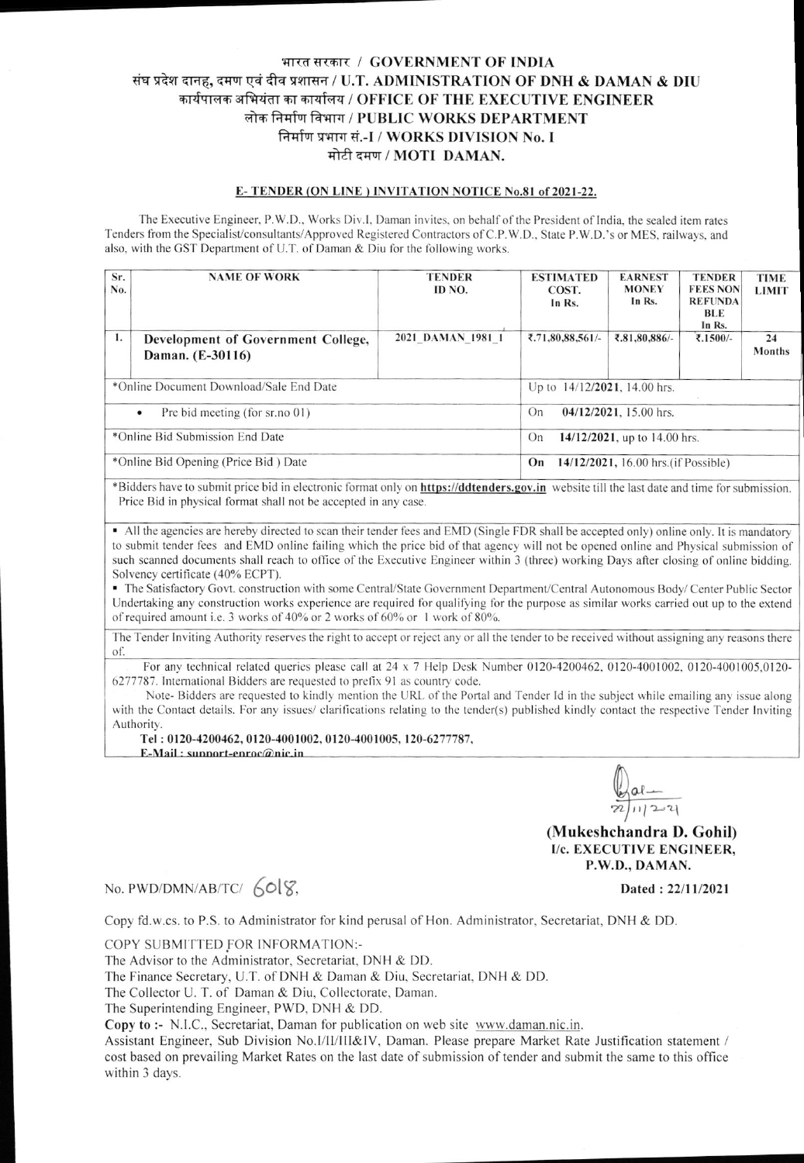## भारत सरकार / GOVERNMENT OF INDIA संघ प्रदेश दानह, दमण एवं दीव प्रशासन / U.T. ADMINISTRATION OF DNH & DAMAN & DIU कार्यपालक अभियंता का कार्यालय / OFFICE OF THE EXECUTIVE ENGINEER लोक निर्माण विभाग / PUBLIC WORKS DEPARTMENT निर्माण प्रभाग सं.-I / WORKS DIVISION No. I मोटी दमण / MOTI DAMAN.

## E-TENDER (ON LINE) INVITATION NOTICE No.81 of 2021-22.

The Executive Engineer, P.W.D., Works Div.I, Daman invites, on behalf of the President of India, the sealed item rates Tenders from the Specialist/consultants/Approved Registered Contractors of C.P.W.D., State P.W.D.'s or MES, railways, and also, with the GST Department of U.T. of Daman & Diu for the following works.

| Sr.<br>No. | <b>NAME OF WORK</b>                                    | <b>TENDER</b><br>ID NO.                    | <b>ESTIMATED</b><br>COST.<br>In Rs. | <b>EARNEST</b><br><b>MONEY</b><br>In Rs. | <b>TENDER</b><br><b>FEES NON</b><br><b>REFUNDA</b><br><b>BLE</b><br>In Rs. | <b>TIME</b><br><b>LIMIT</b> |
|------------|--------------------------------------------------------|--------------------------------------------|-------------------------------------|------------------------------------------|----------------------------------------------------------------------------|-----------------------------|
| 1.         | Development of Government College,<br>Daman. (E-30116) | 2021 DAMAN 1981 1                          | ₹.71,80,88,561/-                    | ₹.81,80,886/-                            | ₹.1500/-                                                                   | 24<br><b>Months</b>         |
|            | *Online Document Download/Sale End Date                | Up to 14/12/2021, 14.00 hrs.               |                                     |                                          |                                                                            |                             |
|            | Pre bid meeting (for sr.no 01)<br>$\bullet$            | $04/12/2021$ , 15.00 hrs.<br>On            |                                     |                                          |                                                                            |                             |
|            | *Online Bid Submission End Date                        | On<br>14/12/2021, up to 14.00 hrs.         |                                     |                                          |                                                                            |                             |
|            | *Online Bid Opening (Price Bid) Date                   | 14/12/2021, 16.00 hrs. (if Possible)<br>On |                                     |                                          |                                                                            |                             |

\*Bidders have to submit price bid in electronic format only on https://ddtenders.gov.in website till the last date and time for submission. Price Bid in physical format shall not be accepted in any case.

• All the agencies are hereby directed to scan their tender fees and EMD (Single FDR shall be accepted only) online only. It is mandatory to submit tender fees and EMD online failing which the price bid of that agency will not be opened online and Physical submission of such scanned documents shall reach to office of the Executive Engineer within 3 (three) working Days after closing of online bidding. Solvency certificate (40% ECPT).

- The Satisfactory Govt. construction with some Central/State Government Department/Central Autonomous Body/Center Public Sector Undertaking any construction works experience are required for qualifying for the purpose as similar works carried out up to the extend of required amount i.e. 3 works of 40% or 2 works of 60% or 1 work of 80%.

The Tender Inviting Authority reserves the right to accept or reject any or all the tender to be received without assigning any reasons there of.

For any technical related queries please call at 24 x 7 Help Desk Number 0120-4200462, 0120-4001002, 0120-4001005,0120-6277787. International Bidders are requested to prefix 91 as country code.

Note-Bidders are requested to kindly mention the URL of the Portal and Tender Id in the subject while emailing any issue along with the Contact details. For any issues/ clarifications relating to the tender(s) published kindly contact the respective Tender Inviting Authority.

Tel: 0120-4200462, 0120-4001002, 0120-4001005, 120-6277787,

E-Mail: sunnort-enroc@nic.in

 $\frac{1}{22}$  al  $-$ 

(Mukeshchandra D. Gohil) I/c. EXECUTIVE ENGINEER, P.W.D., DAMAN.

## No. PWD/DMN/AB/TC/ $60\%$

Dated: 22/11/2021

Copy fd.w.cs. to P.S. to Administrator for kind perusal of Hon. Administrator, Secretariat, DNH & DD.

COPY SUBMITTED FOR INFORMATION:-

The Advisor to the Administrator, Secretariat, DNH & DD.

The Finance Secretary, U.T. of DNH & Daman & Diu, Secretariat, DNH & DD.

The Collector U. T. of Daman & Diu, Collectorate, Daman.

The Superintending Engineer, PWD, DNH & DD.

Copy to :- N.I.C., Secretariat, Daman for publication on web site www.daman.nic.in.

Assistant Engineer, Sub Division No.I/II/III&IV, Daman. Please prepare Market Rate Justification statement / cost based on prevailing Market Rates on the last date of submission of tender and submit the same to this office within 3 days.